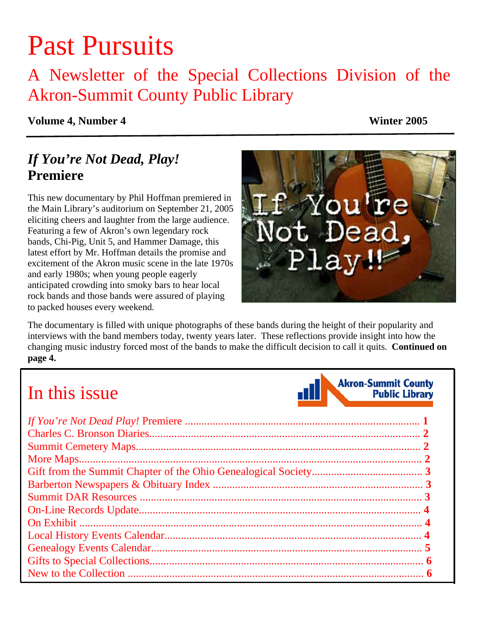# Past Pursuits

### A Newsletter of the Special Collections Division of the Akron-Summit County Public Library

#### **Volume 4, Number 4 Winter 2005**

### *If You're Not Dead, Play!* **Premiere**

This new documentary by Phil Hoffman premiered in the Main Library's auditorium on September 21, 2005 eliciting cheers and laughter from the large audience. Featuring a few of Akron's own legendary rock bands, Chi-Pig, Unit 5, and Hammer Damage, this latest effort by Mr. Hoffman details the promise and excitement of the Akron music scene in the late 1970s and early 1980s; when young people eagerly anticipated crowding into smoky bars to hear local rock bands and those bands were assured of playing to packed houses every weekend.



The documentary is filled with unique photographs of these bands during the height of their popularity and interviews with the band members today, twenty years later. These reflections provide insight into how the [changing music industry forced most of the bands to make the difficult decision to call it quits.](#page-3-0) **Continued on page 4.**

## In this issue

**Akron-Summit County** 

**Public Library**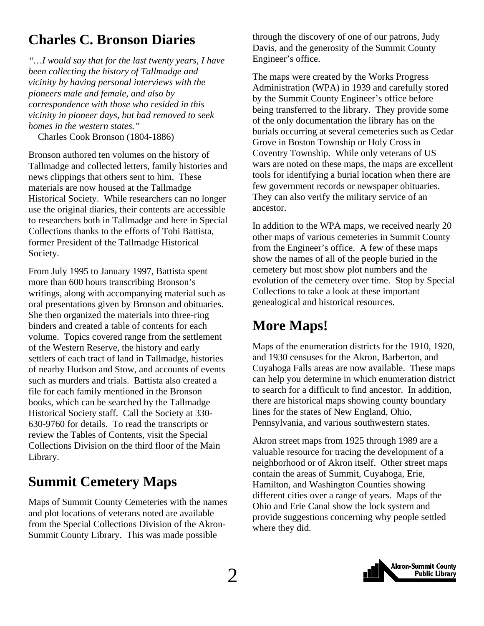### <span id="page-1-0"></span>**Charles C. Bronson Diaries**

*"…I would say that for the last twenty years, I have been collecting the history of Tallmadge and vicinity by having personal interviews with the pioneers male and female, and also by correspondence with those who resided in this vicinity in pioneer days, but had removed to seek homes in the western states."* 

Charles Cook Bronson (1804-1886)

Bronson authored ten volumes on the history of Tallmadge and collected letters, family histories and news clippings that others sent to him. These materials are now housed at the Tallmadge Historical Society. While researchers can no longer use the original diaries, their contents are accessible to researchers both in Tallmadge and here in Special Collections thanks to the efforts of Tobi Battista, former President of the Tallmadge Historical Society.

From July 1995 to January 1997, Battista spent more than 600 hours transcribing Bronson's writings, along with accompanying material such as oral presentations given by Bronson and obituaries. She then organized the materials into three-ring binders and created a table of contents for each volume. Topics covered range from the settlement of the Western Reserve, the history and early settlers of each tract of land in Tallmadge, histories of nearby Hudson and Stow, and accounts of events such as murders and trials. Battista also created a file for each family mentioned in the Bronson books, which can be searched by the Tallmadge Historical Society staff. Call the Society at 330- 630-9760 for details. To read the transcripts or review the Tables of Contents, visit the Special Collections Division on the third floor of the Main Library.

### **Summit Cemetery Maps**

Maps of Summit County Cemeteries with the names and plot locations of veterans noted are available from the Special Collections Division of the Akron-Summit County Library. This was made possible

through the discovery of one of our patrons, Judy Davis, and the generosity of the Summit County Engineer's office.

The maps were created by the Works Progress Administration (WPA) in 1939 and carefully stored by the Summit County Engineer's office before being transferred to the library. They provide some of the only documentation the library has on the burials occurring at several cemeteries such as Cedar Grove in Boston Township or Holy Cross in Coventry Township. While only veterans of US wars are noted on these maps, the maps are excellent tools for identifying a burial location when there are few government records or newspaper obituaries. They can also verify the military service of an ancestor.

In addition to the WPA maps, we received nearly 20 other maps of various cemeteries in Summit County from the Engineer's office. A few of these maps show the names of all of the people buried in the cemetery but most show plot numbers and the evolution of the cemetery over time. Stop by Special Collections to take a look at these important genealogical and historical resources.

### **More Maps!**

Maps of the enumeration districts for the 1910, 1920, and 1930 censuses for the Akron, Barberton, and Cuyahoga Falls areas are now available. These maps can help you determine in which enumeration district to search for a difficult to find ancestor. In addition, there are historical maps showing county boundary lines for the states of New England, Ohio, Pennsylvania, and various southwestern states.

Akron street maps from 1925 through 1989 are a valuable resource for tracing the development of a neighborhood or of Akron itself. Other street maps contain the areas of Summit, Cuyahoga, Erie, Hamilton, and Washington Counties showing different cities over a range of years. Maps of the Ohio and Erie Canal show the lock system and provide suggestions concerning why people settled where they did.

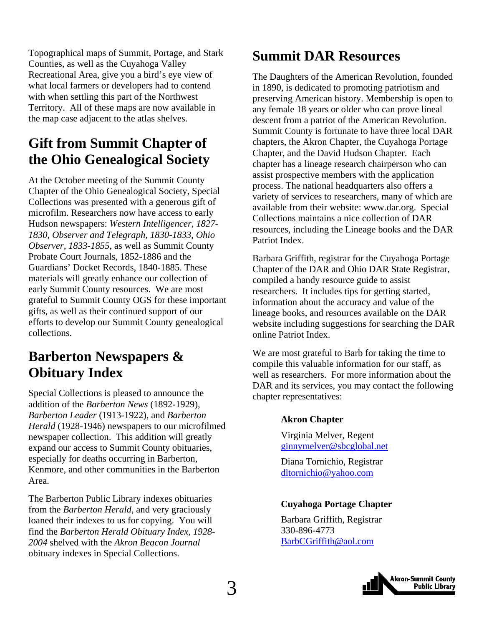<span id="page-2-0"></span>Topographical maps of Summit, Portage, and Stark Counties, as well as the Cuyahoga Valley Recreational Area, give you a bird's eye view of what local farmers or developers had to contend with when settling this part of the Northwest Territory. All of these maps are now available in the map case adjacent to the atlas shelves.

### **Gift from Summit Chapter of the Ohio Genealogical Society**

At the October meeting of the Summit County Chapter of the Ohio Genealogical Society, Special Collections was presented with a generous gift of microfilm. Researchers now have access to early Hudson newspapers: *Western Intelligencer, 1827- 1830, Observer and Telegraph, 1830-1833*, *Ohio Observer, 1833-1855*, as well as Summit County Probate Court Journals, 1852-1886 and the Guardians' Docket Records, 1840-1885. These materials will greatly enhance our collection of early Summit County resources. We are most grateful to Summit County OGS for these important gifts, as well as their continued support of our efforts to develop our Summit County genealogical collections.

### **Barberton Newspapers & Obituary Index**

Special Collections is pleased to announce the addition of the *Barberton News* (1892-1929), *Barberton Leader* (1913-1922), and *Barberton Herald* (1928-1946) newspapers to our microfilmed newspaper collection. This addition will greatly expand our access to Summit County obituaries, especially for deaths occurring in Barberton, Kenmore, and other communities in the Barberton Area.

The Barberton Public Library indexes obituaries from the *Barberton Herald*, and very graciously loaned their indexes to us for copying. You will find the *Barberton Herald Obituary Index, 1928- 2004* shelved with the *Akron Beacon Journal*  obituary indexes in Special Collections.

### **Summit DAR Resources**

The Daughters of the American Revolution, founded in 1890, is dedicated to promoting patriotism and preserving American history. Membership is open to any female 18 years or older who can prove lineal descent from a patriot of the American Revolution. Summit County is fortunate to have three local DAR chapters, the Akron Chapter, the Cuyahoga Portage Chapter, and the David Hudson Chapter. Each chapter has a lineage research chairperson who can assist prospective members with the application process. The national headquarters also offers a variety of services to researchers, many of which are available from their website: www.dar.org. Special Collections maintains a nice collection of DAR resources, including the Lineage books and the DAR Patriot Index.

Barbara Griffith, registrar for the Cuyahoga Portage Chapter of the DAR and Ohio DAR State Registrar, compiled a handy resource guide to assist researchers. It includes tips for getting started, information about the accuracy and value of the lineage books, and resources available on the DAR website including suggestions for searching the DAR online Patriot Index.

We are most grateful to Barb for taking the time to compile this valuable information for our staff, as well as researchers. For more information about the DAR and its services, you may contact the following chapter representatives:

#### **Akron Chapter**

Virginia Melver, Regent [ginnymelver@sbcglobal.net](mailto:ginnymelver@sbcglobal.net) 

Diana Tornichio, Registrar [dltornichio@yahoo.com](mailto:dltornichio@yahoo.com)

#### **Cuyahoga Portage Chapter**

Barbara Griffith, Registrar 330-896-4773 [BarbCGriffith@aol.com](mailto:BarbCGriffith@aol.com)

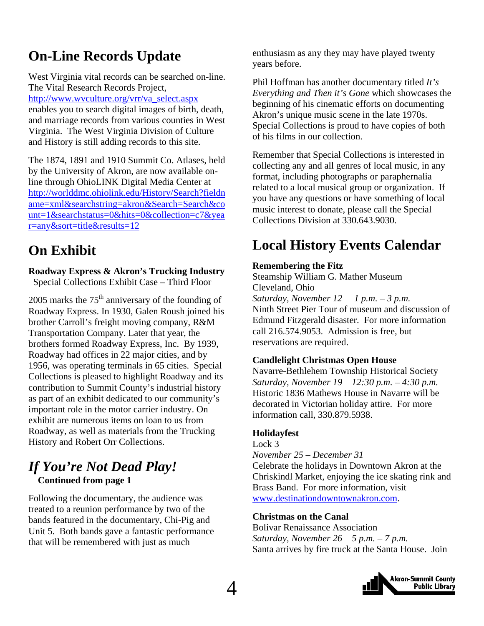### <span id="page-3-0"></span>**On-Line Records Update**

West Virginia vital records can be searched on-line. The Vital Research Records Project, [http://www.wvculture.org/vrr/va\\_select.aspx](http://www.wvculture.org/vrr/va_select.aspx) enables you to search digital images of birth, death, and marriage records from various counties in West Virginia. The West Virginia Division of Culture and History is still adding records to this site.

The 1874, 1891 and 1910 Summit Co. Atlases, held by the University of Akron, are now available online through OhioLINK Digital Media Center at [http://worlddmc.ohiolink.edu/History/Search?fieldn](http://worlddmc.ohiolink.edu/History/Search?fieldname=xml&searchstring=akron&Search=Search&count=1&searchstatus=0&hits=0&collection=c7&year=any&sort=title&results=12) [ame=xml&searchstring=akron&Search=Search&co](http://worlddmc.ohiolink.edu/History/Search?fieldname=xml&searchstring=akron&Search=Search&count=1&searchstatus=0&hits=0&collection=c7&year=any&sort=title&results=12) [unt=1&searchstatus=0&hits=0&collection=c7&yea](http://worlddmc.ohiolink.edu/History/Search?fieldname=xml&searchstring=akron&Search=Search&count=1&searchstatus=0&hits=0&collection=c7&year=any&sort=title&results=12) [r=any&sort=title&results=12](http://worlddmc.ohiolink.edu/History/Search?fieldname=xml&searchstring=akron&Search=Search&count=1&searchstatus=0&hits=0&collection=c7&year=any&sort=title&results=12)

### **On Exhibit**

**Roadway Express & Akron's Trucking Industry** 

Special Collections Exhibit Case – Third Floor

2005 marks the  $75<sup>th</sup>$  anniversary of the founding of Roadway Express. In 1930, Galen Roush joined his brother Carroll's freight moving company, R&M Transportation Company. Later that year, the brothers formed Roadway Express, Inc. By 1939, Roadway had offices in 22 major cities, and by 1956, was operating terminals in 65 cities. Special Collections is pleased to highlight Roadway and its contribution to Summit County's industrial history as part of an exhibit dedicated to our community's important role in the motor carrier industry. On exhibit are numerous items on loan to us from Roadway, as well as materials from the Trucking History and Robert Orr Collections.

### *If You're Not Dead Play!*   **Continued from page 1**

Following the documentary, the audience was treated to a reunion performance by two of the bands featured in the documentary, Chi-Pig and Unit 5. Both bands gave a fantastic performance that will be remembered with just as much

enthusiasm as any they may have played twenty years before.

Phil Hoffman has another documentary titled *It's Everything and Then it's Gone* which showcases the beginning of his cinematic efforts on documenting Akron's unique music scene in the late 1970s. Special Collections is proud to have copies of both of his films in our collection.

Remember that Special Collections is interested in collecting any and all genres of local music, in any format, including photographs or paraphernalia related to a local musical group or organization. If you have any questions or have something of local music interest to donate, please call the Special Collections Division at 330.643.9030.

### **Local History Events Calendar**

#### **Remembering the Fitz**

Steamship William G. Mather Museum Cleveland, Ohio

*Saturday, November 12 1 p.m. – 3 p.m.*  Ninth Street Pier Tour of museum and discussion of Edmund Fitzgerald disaster. For more information call 216.574.9053. Admission is free, but reservations are required.

#### **Candlelight Christmas Open House**

Navarre-Bethlehem Township Historical Society *Saturday, November 19 12:30 p.m. – 4:30 p.m.*  Historic 1836 Mathews House in Navarre will be decorated in Victorian holiday attire. For more information call, 330.879.5938.

#### **Holidayfest**

Lock 3

*November 25 – December 31* 

Celebrate the holidays in Downtown Akron at the Chriskindl Market, enjoying the ice skating rink and Brass Band. For more information, visit [www.destinationdowntownakron.com.](http://www.destinationdowntownakron.com/)

#### **Christmas on the Canal**

Bolivar Renaissance Association *Saturday, November 26 5 p.m. – 7 p.m.*  Santa arrives by fire truck at the Santa House. Join

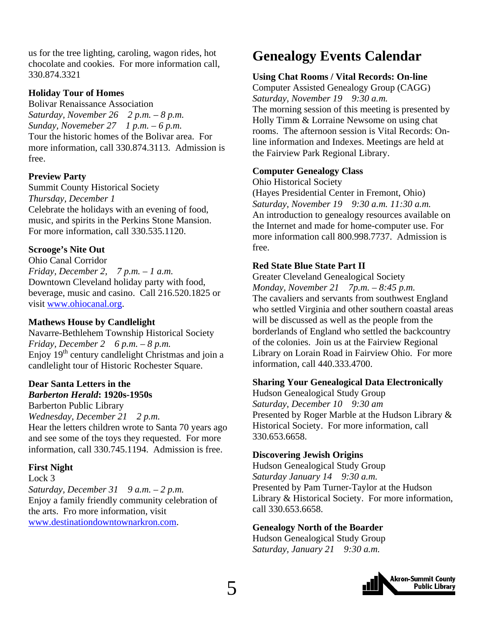<span id="page-4-0"></span>us for the tree lighting, caroling, wagon rides, hot chocolate and cookies. For more information call, 330.874.3321

#### **Holiday Tour of Homes**

Bolivar Renaissance Association *Saturday, November 26 2 p.m. – 8 p.m. Sunday, Novemeber 27 1 p.m. – 6 p.m.*  Tour the historic homes of the Bolivar area. For more information, call 330.874.3113. Admission is free.

#### **Preview Party**

Summit County Historical Society *Thursday, December 1*  Celebrate the holidays with an evening of food, music, and spirits in the Perkins Stone Mansion. For more information, call 330.535.1120.

#### **Scrooge's Nite Out**

Ohio Canal Corridor *Friday, December 2, 7 p.m. – 1 a.m.*  Downtown Cleveland holiday party with food, beverage, music and casino. Call 216.520.1825 or visit [www.ohiocanal.org](http://www.ohiocanal.org/).

#### **Mathews House by Candlelight**

Navarre-Bethlehem Township Historical Society *Friday, December 2 6 p.m. – 8 p.m.*  Enjoy  $19<sup>th</sup>$  century candlelight Christmas and join a candlelight tour of Historic Rochester Square.

#### **Dear Santa Letters in the**  *Barberton Herald***: 1920s-1950s**

Barberton Public Library *Wednesday, December 21 2 p.m.*  Hear the letters children wrote to Santa 70 years ago and see some of the toys they requested. For more information, call 330.745.1194. Admission is free.

#### **First Night**

Lock 3 *Saturday, December 31 9 a.m. – 2 p.m.*  Enjoy a family friendly community celebration of the arts. Fro more information, visit [www.destinationdowntownarkron.com](http://www.destinationdowntownarkron.com/).

### **Genealogy Events Calendar**

#### **Using Chat Rooms / Vital Records: On-line**

Computer Assisted Genealogy Group (CAGG) *Saturday, November 19 9:30 a.m.*  The morning session of this meeting is presented by Holly Timm & Lorraine Newsome on using chat rooms. The afternoon session is Vital Records: Online information and Indexes. Meetings are held at the Fairview Park Regional Library.

#### **Computer Genealogy Class**

Ohio Historical Society

(Hayes Presidential Center in Fremont, Ohio) *Saturday, November 19 9:30 a.m. 11:30 a.m.*  An introduction to genealogy resources available on the Internet and made for home-computer use. For more information call 800.998.7737. Admission is free.

#### **Red State Blue State Part II**

Greater Cleveland Genealogical Society *Monday, November 21 7p.m. – 8:45 p.m.*  The cavaliers and servants from southwest England who settled Virginia and other southern coastal areas will be discussed as well as the people from the borderlands of England who settled the backcountry of the colonies. Join us at the Fairview Regional Library on Lorain Road in Fairview Ohio. For more information, call 440.333.4700.

#### **Sharing Your Genealogical Data Electronically**

Hudson Genealogical Study Group *Saturday, December 10 9:30 am*  Presented by Roger Marble at the Hudson Library & Historical Society. For more information, call 330.653.6658.

#### **Discovering Jewish Origins**

Hudson Genealogical Study Group *Saturday January 14 9:30 a.m.*  Presented by Pam Turner-Taylor at the Hudson Library & Historical Society. For more information, call 330.653.6658.

#### **Genealogy North of the Boarder**

Hudson Genealogical Study Group *Saturday, January 21 9:30 a.m.* 

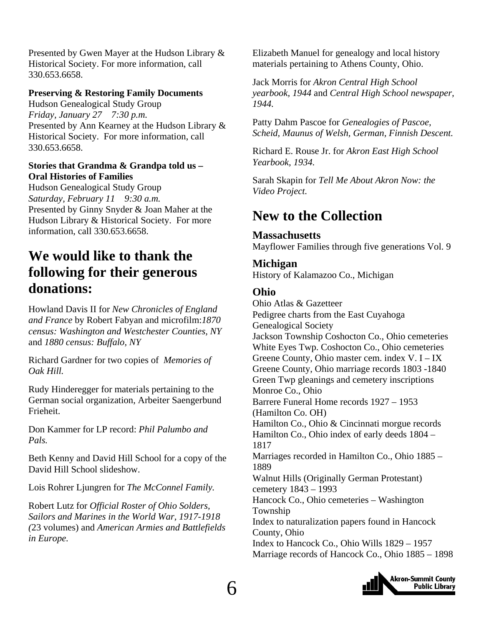<span id="page-5-0"></span>Presented by Gwen Mayer at the Hudson Library & Historical Society. For more information, call 330.653.6658.

#### **Preserving & Restoring Family Documents**

Hudson Genealogical Study Group *Friday, January 27 7:30 p.m.*  Presented by Ann Kearney at the Hudson Library & Historical Society. For more information, call 330.653.6658.

#### **Stories that Grandma & Grandpa told us – Oral Histories of Families**

Hudson Genealogical Study Group *Saturday, February 11 9:30 a.m.*  Presented by Ginny Snyder & Joan Maher at the Hudson Library & Historical Society. For more information, call 330.653.6658.

### **We would like to thank the following for their generous donations:**

Howland Davis II for *New Chronicles of England and France* by Robert Fabyan and microfilm:*1870 census: Washington and Westchester Counties, NY*  and *1880 census: Buffalo, NY* 

Richard Gardner for two copies of *Memories of Oak Hill.* 

Rudy Hinderegger for materials pertaining to the German social organization, Arbeiter Saengerbund Frieheit.

Don Kammer for LP record: *Phil Palumbo and Pals.* 

Beth Kenny and David Hill School for a copy of the David Hill School slideshow.

Lois Rohrer Ljungren for *The McConnel Family.* 

Robert Lutz for *Official Roster of Ohio Solders, Sailors and Marines in the World War, 1917-1918 (*23 volumes) and *American Armies and Battlefields in Europe.* 

Elizabeth Manuel for genealogy and local history materials pertaining to Athens County, Ohio.

Jack Morris for *Akron Central High School yearbook, 1944* and *Central High School newspaper, 1944.* 

Patty Dahm Pascoe for *Genealogies of Pascoe, Scheid, Maunus of Welsh, German, Finnish Descent.* 

Richard E. Rouse Jr. for *Akron East High School Yearbook, 1934.* 

Sarah Skapin for *Tell Me About Akron Now: the Video Project.* 

### **New to the Collection**

#### **Massachusetts**

Mayflower Families through five generations Vol. 9

#### **Michigan**

History of Kalamazoo Co., Michigan

#### **Ohio**

Ohio Atlas & Gazetteer Pedigree charts from the East Cuyahoga Genealogical Society Jackson Township Coshocton Co., Ohio cemeteries White Eyes Twp. Coshocton Co., Ohio cemeteries Greene County, Ohio master cem. index V. I – IX Greene County, Ohio marriage records 1803 -1840 Green Twp gleanings and cemetery inscriptions Monroe Co., Ohio Barrere Funeral Home records 1927 – 1953 (Hamilton Co. OH) Hamilton Co., Ohio & Cincinnati morgue records Hamilton Co., Ohio index of early deeds 1804 – 1817 Marriages recorded in Hamilton Co., Ohio 1885 – 1889 Walnut Hills (Originally German Protestant) cemetery 1843 – 1993 Hancock Co., Ohio cemeteries – Washington Township Index to naturalization papers found in Hancock County, Ohio Index to Hancock Co., Ohio Wills 1829 – 1957 Marriage records of Hancock Co., Ohio 1885 – 1898

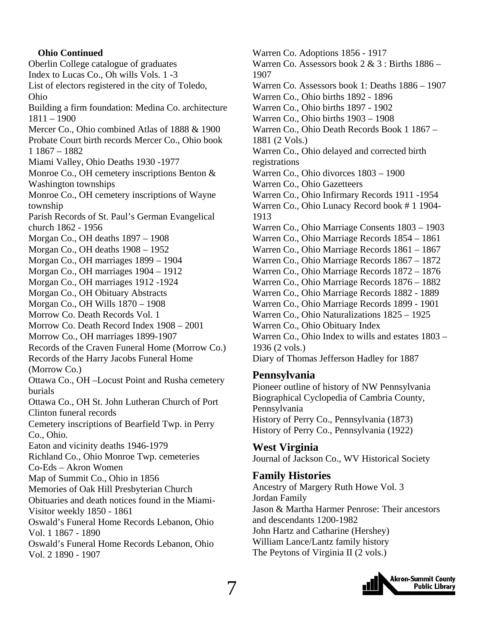#### **Ohio Continued**  Oberlin College catalogue of graduates Index to Lucas Co., Oh wills Vols. 1 -3 List of electors registered in the city of Toledo, Ohio Building a firm foundation: Medina Co. architecture 1811 – 1900 Mercer Co., Ohio combined Atlas of 1888 & 1900 Probate Court birth records Mercer Co., Ohio book 1 1867 – 1882 Miami Valley, Ohio Deaths 1930 -1977 Monroe Co., OH cemetery inscriptions Benton & Washington townships Monroe Co., OH cemetery inscriptions of Wayne township Parish Records of St. Paul's German Evangelical church 1862 - 1956 Morgan Co., OH deaths 1897 – 1908 Morgan Co., OH deaths 1908 – 1952 Morgan Co., OH marriages 1899 – 1904 Morgan Co., OH marriages 1904 – 1912 Morgan Co., OH marriages 1912 -1924 Morgan Co., OH Obituary Abstracts Morgan Co., OH Wills 1870 – 1908 Morrow Co. Death Records Vol. 1 Morrow Co. Death Record Index 1908 – 2001 Morrow Co., OH marriages 1899-1907 Records of the Craven Funeral Home (Morrow Co.) Records of the Harry Jacobs Funeral Home (Morrow Co.) Ottawa Co., OH –Locust Point and Rusha cemetery burials Ottawa Co., OH St. John Lutheran Church of Port Clinton funeral records Cemetery inscriptions of Bearfield Twp. in Perry Co., Ohio. Eaton and vicinity deaths 1946-1979 Richland Co., Ohio Monroe Twp. cemeteries Co-Eds – Akron Women Map of Summit Co., Ohio in 1856 Memories of Oak Hill Presbyterian Church Obituaries and death notices found in the Miami-Visitor weekly 1850 - 1861 Oswald's Funeral Home Records Lebanon, Ohio Vol. 1 1867 - 1890 Oswald's Funeral Home Records Lebanon, Ohio Vol. 2 1890 - 1907

Warren Co. Adoptions 1856 - 1917 Warren Co. Assessors book  $2 \& 3$ : Births  $1886 -$ 1907 Warren Co. Assessors book 1: Deaths 1886 – 1907 Warren Co., Ohio births 1892 - 1896 Warren Co., Ohio births 1897 - 1902 Warren Co., Ohio births 1903 – 1908 Warren Co., Ohio Death Records Book 1 1867 – 1881 (2 Vols.) Warren Co., Ohio delayed and corrected birth registrations Warren Co., Ohio divorces 1803 – 1900 Warren Co., Ohio Gazetteers Warren Co., Ohio Infirmary Records 1911 -1954 Warren Co., Ohio Lunacy Record book # 1 1904- 1913 Warren Co., Ohio Marriage Consents 1803 – 1903 Warren Co., Ohio Marriage Records 1854 – 1861 Warren Co., Ohio Marriage Records 1861 – 1867 Warren Co., Ohio Marriage Records 1867 – 1872 Warren Co., Ohio Marriage Records 1872 – 1876 Warren Co., Ohio Marriage Records 1876 – 1882 Warren Co., Ohio Marriage Records 1882 - 1889 Warren Co., Ohio Marriage Records 1899 - 1901 Warren Co., Ohio Naturalizations 1825 – 1925 Warren Co., Ohio Obituary Index Warren Co., Ohio Index to wills and estates 1803 – 1936 (2 vols.) Diary of Thomas Jefferson Hadley for 1887

#### **Pennsylvania**

Pioneer outline of history of NW Pennsylvania Biographical Cyclopedia of Cambria County, Pennsylvania History of Perry Co., Pennsylvania (1873) History of Perry Co., Pennsylvania (1922)

#### **West Virginia**  Journal of Jackson Co., WV Historical Society

#### **Family Histories**

Ancestry of Margery Ruth Howe Vol. 3 Jordan Family Jason & Martha Harmer Penrose: Their ancestors and descendants 1200-1982 John Hartz and Catharine (Hershey) William Lance/Lantz family history The Peytons of Virginia II (2 vols.)